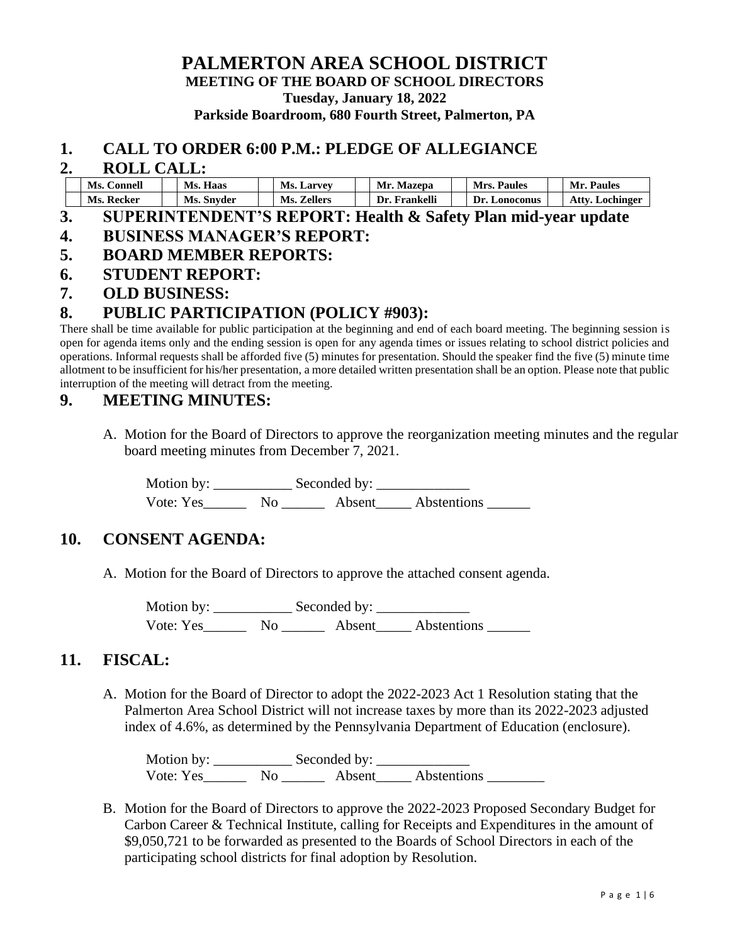### **PALMERTON AREA SCHOOL DISTRICT MEETING OF THE BOARD OF SCHOOL DIRECTORS Tuesday, January 18, 2022 Parkside Boardroom, 680 Fourth Street, Palmerton, PA**

#### **1. CALL TO ORDER 6:00 P.M.: PLEDGE OF ALLEGIANCE**

#### **2. ROLL CALL:**

| Ms. Connell | Ms.<br>Haas     | Ms.<br>. Larvev | Mr.<br><b>Mazepa</b> | Mrs.<br><b>Paules</b> | <b>Paules</b><br>Mr. I |
|-------------|-----------------|-----------------|----------------------|-----------------------|------------------------|
| Ms. Recker  | Ms.<br>. Snyder | Zellers<br>Ms.  | Dr.<br>Frankelli     | Dr.<br>Lonoconus      | Atty<br>Lochinger      |

#### **3. SUPERINTENDENT'S REPORT: Health & Safety Plan mid-year update 4. BUSINESS MANAGER'S REPORT:**

- **5. BOARD MEMBER REPORTS:**
- **6. STUDENT REPORT:**
- **7. OLD BUSINESS:**

### **8. PUBLIC PARTICIPATION (POLICY #903):**

There shall be time available for public participation at the beginning and end of each board meeting. The beginning session is open for agenda items only and the ending session is open for any agenda times or issues relating to school district policies and operations. Informal requests shall be afforded five (5) minutes for presentation. Should the speaker find the five (5) minute time allotment to be insufficient for his/her presentation, a more detailed written presentation shall be an option. Please note that public interruption of the meeting will detract from the meeting.

### **9. MEETING MINUTES:**

A. Motion for the Board of Directors to approve the reorganization meeting minutes and the regular board meeting minutes from December 7, 2021.

Motion by: \_\_\_\_\_\_\_\_\_\_\_ Seconded by: \_\_\_\_\_\_\_\_\_\_\_\_\_ Vote: Yes\_\_\_\_\_\_ No \_\_\_\_\_\_ Absent\_\_\_\_\_ Abstentions \_\_\_\_\_\_

### **10. CONSENT AGENDA:**

A. Motion for the Board of Directors to approve the attached consent agenda.

Motion by: \_\_\_\_\_\_\_\_\_\_\_ Seconded by: \_\_\_\_\_\_\_\_\_\_\_\_\_ Vote: Yes\_\_\_\_\_\_\_\_ No \_\_\_\_\_\_\_\_ Absent\_\_\_\_\_\_ Abstentions \_\_\_\_\_\_\_

### **11. FISCAL:**

A. Motion for the Board of Director to adopt the 2022-2023 Act 1 Resolution stating that the Palmerton Area School District will not increase taxes by more than its 2022-2023 adjusted index of 4.6%, as determined by the Pennsylvania Department of Education (enclosure).

Motion by: \_\_\_\_\_\_\_\_\_\_\_ Seconded by: \_\_\_\_\_\_\_\_\_\_\_\_\_ Vote: Yes\_\_\_\_\_\_\_\_ No \_\_\_\_\_\_\_ Absent\_\_\_\_\_ Abstentions \_\_\_\_\_\_\_\_\_

B. Motion for the Board of Directors to approve the 2022-2023 Proposed Secondary Budget for Carbon Career & Technical Institute, calling for Receipts and Expenditures in the amount of \$9,050,721 to be forwarded as presented to the Boards of School Directors in each of the participating school districts for final adoption by Resolution.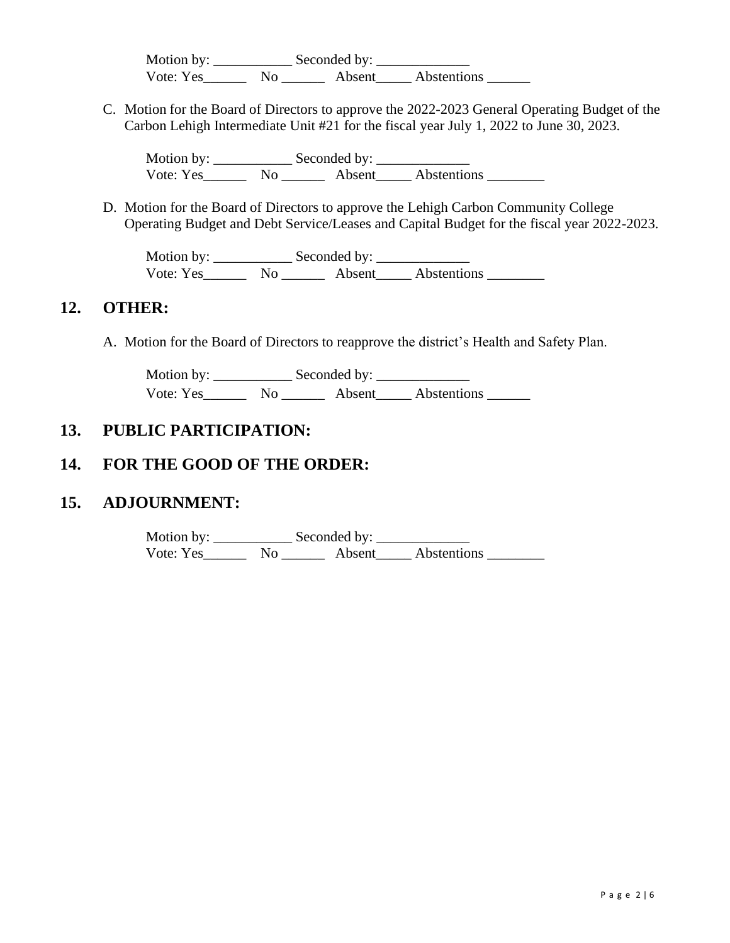Motion by: \_\_\_\_\_\_\_\_\_\_\_ Seconded by: \_\_\_\_\_\_\_\_\_\_\_\_\_ Vote: Yes\_\_\_\_\_\_\_\_ No \_\_\_\_\_\_\_\_ Absent\_\_\_\_\_ Abstentions \_\_\_\_\_\_\_

C. Motion for the Board of Directors to approve the 2022-2023 General Operating Budget of the Carbon Lehigh Intermediate Unit #21 for the fiscal year July 1, 2022 to June 30, 2023.

Motion by: Seconded by: Vote: Yes\_\_\_\_\_\_\_\_ No \_\_\_\_\_\_\_\_ Absent\_\_\_\_\_\_ Abstentions \_\_\_\_\_\_\_\_

D. Motion for the Board of Directors to approve the Lehigh Carbon Community College Operating Budget and Debt Service/Leases and Capital Budget for the fiscal year 2022-2023.

Motion by: \_\_\_\_\_\_\_\_\_\_\_ Seconded by: \_\_\_\_\_\_\_\_\_\_\_\_\_ Vote: Yes\_\_\_\_\_\_\_\_ No \_\_\_\_\_\_\_ Absent\_\_\_\_\_ Abstentions \_\_\_\_\_\_\_\_\_

### **12. OTHER:**

A. Motion for the Board of Directors to reapprove the district's Health and Safety Plan.

Motion by: \_\_\_\_\_\_\_\_\_\_\_\_\_\_\_\_\_\_\_\_\_ Seconded by: \_\_\_\_\_\_\_\_\_\_\_\_\_\_\_\_\_\_\_\_\_\_\_\_\_\_\_\_\_\_\_\_\_\_ Vote: Yes\_\_\_\_\_\_\_\_ No \_\_\_\_\_\_\_\_ Absent\_\_\_\_\_\_ Abstentions \_\_\_\_\_\_\_

## **13. PUBLIC PARTICIPATION:**

## **14. FOR THE GOOD OF THE ORDER:**

### **15. ADJOURNMENT:**

Motion by: \_\_\_\_\_\_\_\_\_\_\_ Seconded by: \_\_\_\_\_\_\_\_\_\_\_\_\_ Vote: Yes\_\_\_\_\_\_\_\_ No \_\_\_\_\_\_\_\_ Absent\_\_\_\_\_\_ Abstentions \_\_\_\_\_\_\_\_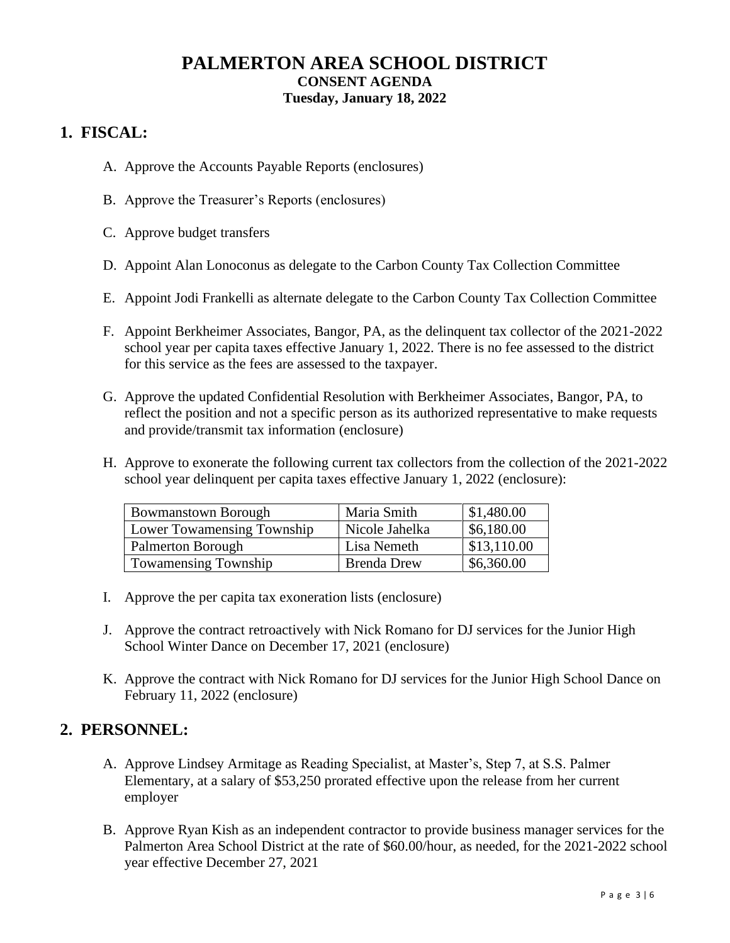## **PALMERTON AREA SCHOOL DISTRICT CONSENT AGENDA Tuesday, January 18, 2022**

# **1. FISCAL:**

- A. Approve the Accounts Payable Reports (enclosures)
- B. Approve the Treasurer's Reports (enclosures)
- C. Approve budget transfers
- D. Appoint Alan Lonoconus as delegate to the Carbon County Tax Collection Committee
- E. Appoint Jodi Frankelli as alternate delegate to the Carbon County Tax Collection Committee
- F. Appoint Berkheimer Associates, Bangor, PA, as the delinquent tax collector of the 2021-2022 school year per capita taxes effective January 1, 2022. There is no fee assessed to the district for this service as the fees are assessed to the taxpayer.
- G. Approve the updated Confidential Resolution with Berkheimer Associates, Bangor, PA, to reflect the position and not a specific person as its authorized representative to make requests and provide/transmit tax information (enclosure)
- H. Approve to exonerate the following current tax collectors from the collection of the 2021-2022 school year delinquent per capita taxes effective January 1, 2022 (enclosure):

| <b>Bowmanstown Borough</b>        | Maria Smith        | \$1,480.00  |
|-----------------------------------|--------------------|-------------|
| <b>Lower Towamensing Township</b> | Nicole Jahelka     | \$6,180.00  |
| Palmerton Borough                 | Lisa Nemeth        | \$13,110.00 |
| <b>Towamensing Township</b>       | <b>Brenda Drew</b> | \$6,360.00  |

- I. Approve the per capita tax exoneration lists (enclosure)
- J. Approve the contract retroactively with Nick Romano for DJ services for the Junior High School Winter Dance on December 17, 2021 (enclosure)
- K. Approve the contract with Nick Romano for DJ services for the Junior High School Dance on February 11, 2022 (enclosure)

### **2. PERSONNEL:**

- A. Approve Lindsey Armitage as Reading Specialist, at Master's, Step 7, at S.S. Palmer Elementary, at a salary of \$53,250 prorated effective upon the release from her current employer
- B. Approve Ryan Kish as an independent contractor to provide business manager services for the Palmerton Area School District at the rate of \$60.00/hour, as needed, for the 2021-2022 school year effective December 27, 2021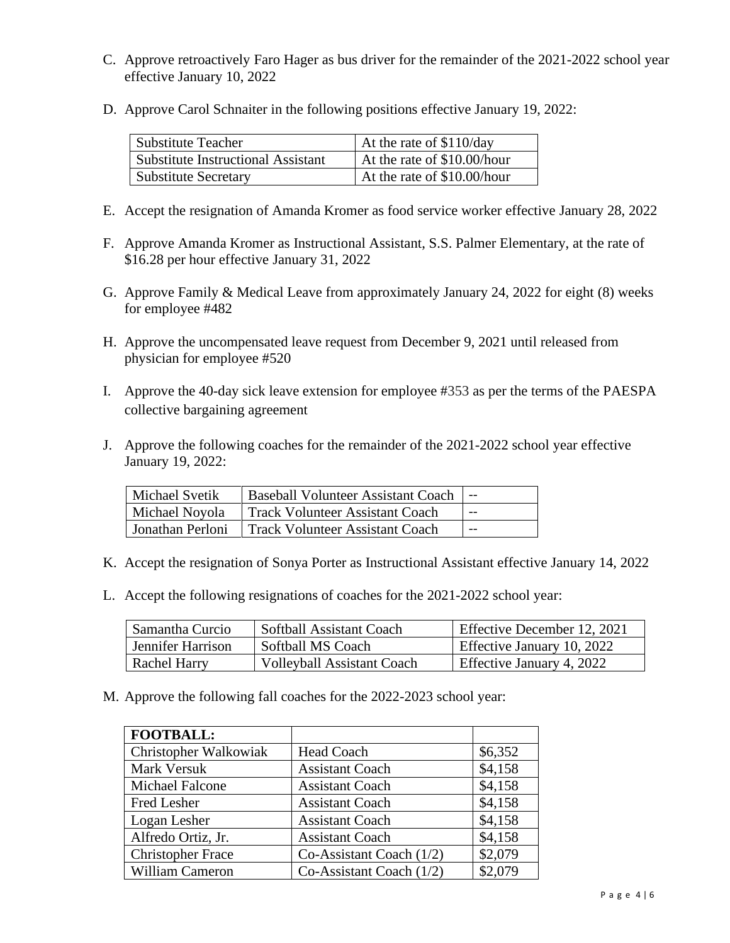- C. Approve retroactively Faro Hager as bus driver for the remainder of the 2021-2022 school year effective January 10, 2022
- D. Approve Carol Schnaiter in the following positions effective January 19, 2022:

| Substitute Teacher                        | At the rate of \$110/day    |
|-------------------------------------------|-----------------------------|
| <b>Substitute Instructional Assistant</b> | At the rate of \$10.00/hour |
| <b>Substitute Secretary</b>               | At the rate of \$10.00/hour |

- E. Accept the resignation of Amanda Kromer as food service worker effective January 28, 2022
- F. Approve Amanda Kromer as Instructional Assistant, S.S. Palmer Elementary, at the rate of \$16.28 per hour effective January 31, 2022
- G. Approve Family & Medical Leave from approximately January 24, 2022 for eight (8) weeks for employee #482
- H. Approve the uncompensated leave request from December 9, 2021 until released from physician for employee #520
- I. Approve the 40-day sick leave extension for employee #353 as per the terms of the PAESPA collective bargaining agreement
- J. Approve the following coaches for the remainder of the 2021-2022 school year effective January 19, 2022:

| <b>Michael Svetik</b> | <b>Baseball Volunteer Assistant Coach</b> |       |
|-----------------------|-------------------------------------------|-------|
| Michael Noyola        | Track Volunteer Assistant Coach           | $- -$ |
| Jonathan Perloni      | Track Volunteer Assistant Coach           | --    |

- K. Accept the resignation of Sonya Porter as Instructional Assistant effective January 14, 2022
- L. Accept the following resignations of coaches for the 2021-2022 school year:

| Samantha Curcio   | Softball Assistant Coach          | Effective December 12, 2021 |
|-------------------|-----------------------------------|-----------------------------|
| Jennifer Harrison | Softball MS Coach                 | Effective January 10, 2022  |
| Rachel Harry      | <b>Volleyball Assistant Coach</b> | Effective January 4, 2022   |

M. Approve the following fall coaches for the 2022-2023 school year:

| <b>FOOTBALL:</b>         |                            |         |
|--------------------------|----------------------------|---------|
| Christopher Walkowiak    | <b>Head Coach</b>          | \$6,352 |
| Mark Versuk              | <b>Assistant Coach</b>     | \$4,158 |
| <b>Michael Falcone</b>   | <b>Assistant Coach</b>     | \$4,158 |
| <b>Fred Lesher</b>       | <b>Assistant Coach</b>     | \$4,158 |
| Logan Lesher             | <b>Assistant Coach</b>     | \$4,158 |
| Alfredo Ortiz, Jr.       | <b>Assistant Coach</b>     | \$4,158 |
| <b>Christopher Frace</b> | Co-Assistant Coach $(1/2)$ | \$2,079 |
| William Cameron          | Co-Assistant Coach $(1/2)$ | \$2,079 |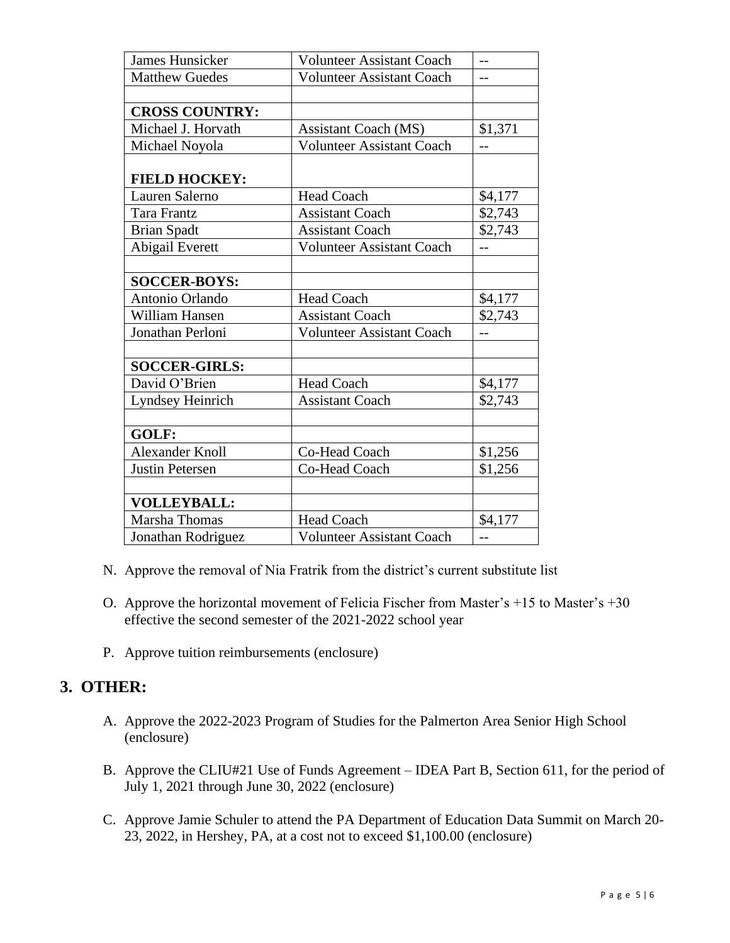| <b>James Hunsicker</b> | <b>Volunteer Assistant Coach</b> |         |
|------------------------|----------------------------------|---------|
| <b>Matthew Guedes</b>  | <b>Volunteer Assistant Coach</b> | --      |
|                        |                                  |         |
| <b>CROSS COUNTRY:</b>  |                                  |         |
| Michael J. Horvath     | <b>Assistant Coach (MS)</b>      | \$1,371 |
| Michael Noyola         | <b>Volunteer Assistant Coach</b> | $-$     |
|                        |                                  |         |
| <b>FIELD HOCKEY:</b>   |                                  |         |
| Lauren Salerno         | <b>Head Coach</b>                | \$4,177 |
| Tara Frantz            | <b>Assistant Coach</b>           | \$2,743 |
| <b>Brian Spadt</b>     | <b>Assistant Coach</b>           | \$2,743 |
| Abigail Everett        | <b>Volunteer Assistant Coach</b> | $-$     |
|                        |                                  |         |
| <b>SOCCER-BOYS:</b>    |                                  |         |
| Antonio Orlando        | <b>Head Coach</b>                | \$4,177 |
| William Hansen         | <b>Assistant Coach</b>           | \$2,743 |
| Jonathan Perloni       | <b>Volunteer Assistant Coach</b> | $-$     |
|                        |                                  |         |
| <b>SOCCER-GIRLS:</b>   |                                  |         |
| David O'Brien          | <b>Head Coach</b>                | \$4,177 |
| Lyndsey Heinrich       | <b>Assistant Coach</b>           | \$2,743 |
|                        |                                  |         |
| GOLF:                  |                                  |         |
| <b>Alexander Knoll</b> | Co-Head Coach                    | \$1,256 |
| <b>Justin Petersen</b> | Co-Head Coach                    | \$1,256 |
|                        |                                  |         |
| <b>VOLLEYBALL:</b>     |                                  |         |
| Marsha Thomas          | <b>Head Coach</b>                | \$4,177 |
| Jonathan Rodriguez     | <b>Volunteer Assistant Coach</b> | $-$     |

- N. Approve the removal of Nia Fratrik from the district's current substitute list
- O. Approve the horizontal movement of Felicia Fischer from Master's +15 to Master's +30 effective the second semester of the 2021-2022 school year
- P. Approve tuition reimbursements (enclosure)

## **3. OTHER:**

- A. Approve the 2022-2023 Program of Studies for the Palmerton Area Senior High School (enclosure)
- B. Approve the CLIU#21 Use of Funds Agreement IDEA Part B, Section 611, for the period of July 1, 2021 through June 30, 2022 (enclosure)
- C. Approve Jamie Schuler to attend the PA Department of Education Data Summit on March 20- 23, 2022, in Hershey, PA, at a cost not to exceed \$1,100.00 (enclosure)